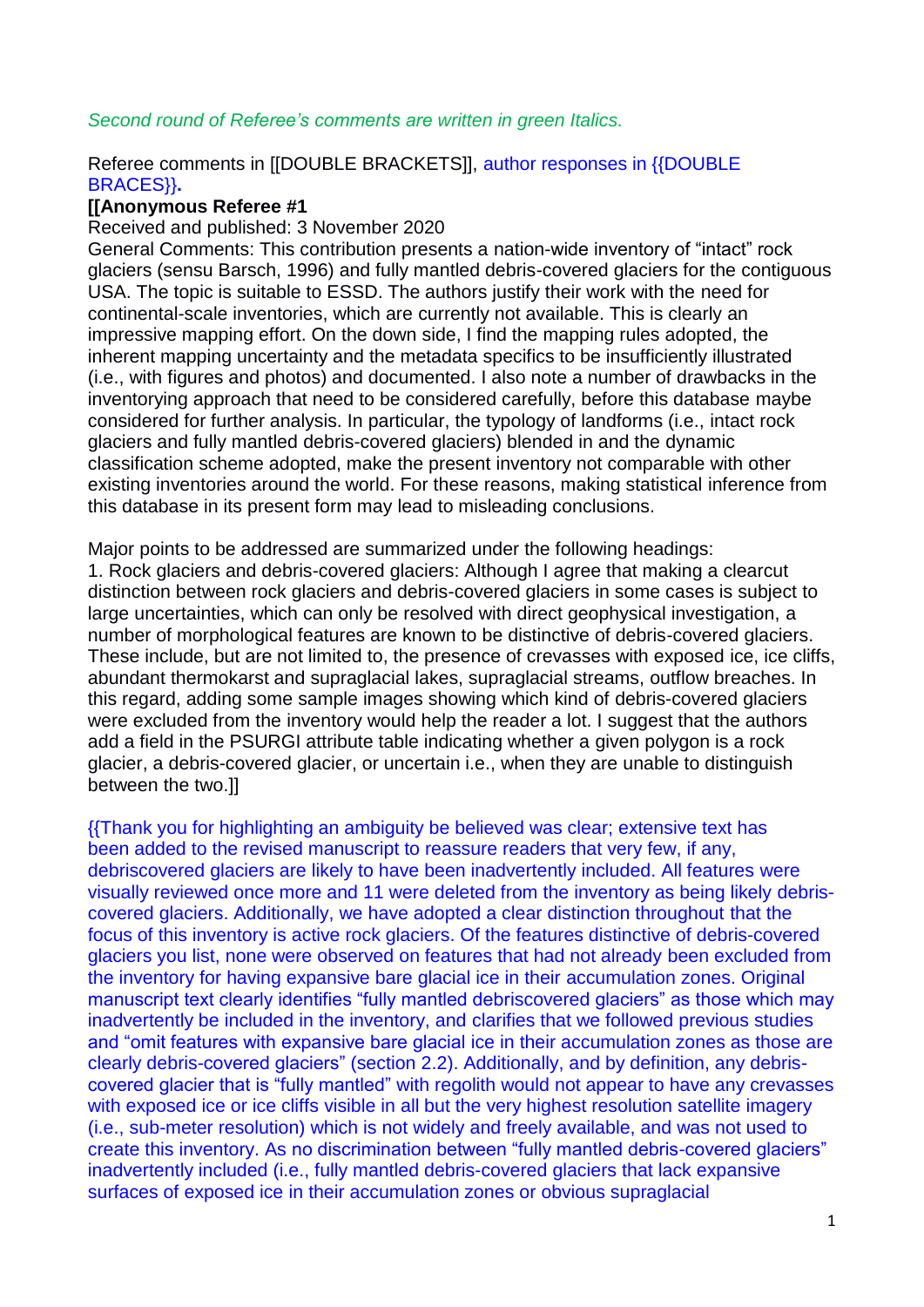# *Second round of Referee's comments are written in green Italics.*

## Referee comments in [[DOUBLE BRACKETS]], author responses in {{DOUBLE BRACES}}**.**

## **[[Anonymous Referee #1**

#### Received and published: 3 November 2020

General Comments: This contribution presents a nation-wide inventory of "intact" rock glaciers (sensu Barsch, 1996) and fully mantled debris-covered glaciers for the contiguous USA. The topic is suitable to ESSD. The authors justify their work with the need for continental-scale inventories, which are currently not available. This is clearly an impressive mapping effort. On the down side, I find the mapping rules adopted, the inherent mapping uncertainty and the metadata specifics to be insufficiently illustrated (i.e., with figures and photos) and documented. I also note a number of drawbacks in the inventorying approach that need to be considered carefully, before this database maybe considered for further analysis. In particular, the typology of landforms (i.e., intact rock glaciers and fully mantled debris-covered glaciers) blended in and the dynamic classification scheme adopted, make the present inventory not comparable with other existing inventories around the world. For these reasons, making statistical inference from this database in its present form may lead to misleading conclusions.

Major points to be addressed are summarized under the following headings: 1. Rock glaciers and debris-covered glaciers: Although I agree that making a clearcut distinction between rock glaciers and debris-covered glaciers in some cases is subject to large uncertainties, which can only be resolved with direct geophysical investigation, a number of morphological features are known to be distinctive of debris-covered glaciers. These include, but are not limited to, the presence of crevasses with exposed ice, ice cliffs, abundant thermokarst and supraglacial lakes, supraglacial streams, outflow breaches. In this regard, adding some sample images showing which kind of debris-covered glaciers were excluded from the inventory would help the reader a lot. I suggest that the authors add a field in the PSURGI attribute table indicating whether a given polygon is a rock glacier, a debris-covered glacier, or uncertain i.e., when they are unable to distinguish between the two.]]

{{Thank you for highlighting an ambiguity be believed was clear; extensive text has been added to the revised manuscript to reassure readers that very few, if any, debriscovered glaciers are likely to have been inadvertently included. All features were visually reviewed once more and 11 were deleted from the inventory as being likely debriscovered glaciers. Additionally, we have adopted a clear distinction throughout that the focus of this inventory is active rock glaciers. Of the features distinctive of debris-covered glaciers you list, none were observed on features that had not already been excluded from the inventory for having expansive bare glacial ice in their accumulation zones. Original manuscript text clearly identifies "fully mantled debriscovered glaciers" as those which may inadvertently be included in the inventory, and clarifies that we followed previous studies and "omit features with expansive bare glacial ice in their accumulation zones as those are clearly debris-covered glaciers" (section 2.2). Additionally, and by definition, any debriscovered glacier that is "fully mantled" with regolith would not appear to have any crevasses with exposed ice or ice cliffs visible in all but the very highest resolution satellite imagery (i.e., sub-meter resolution) which is not widely and freely available, and was not used to create this inventory. As no discrimination between "fully mantled debris-covered glaciers" inadvertently included (i.e., fully mantled debris-covered glaciers that lack expansive surfaces of exposed ice in their accumulation zones or obvious supraglacial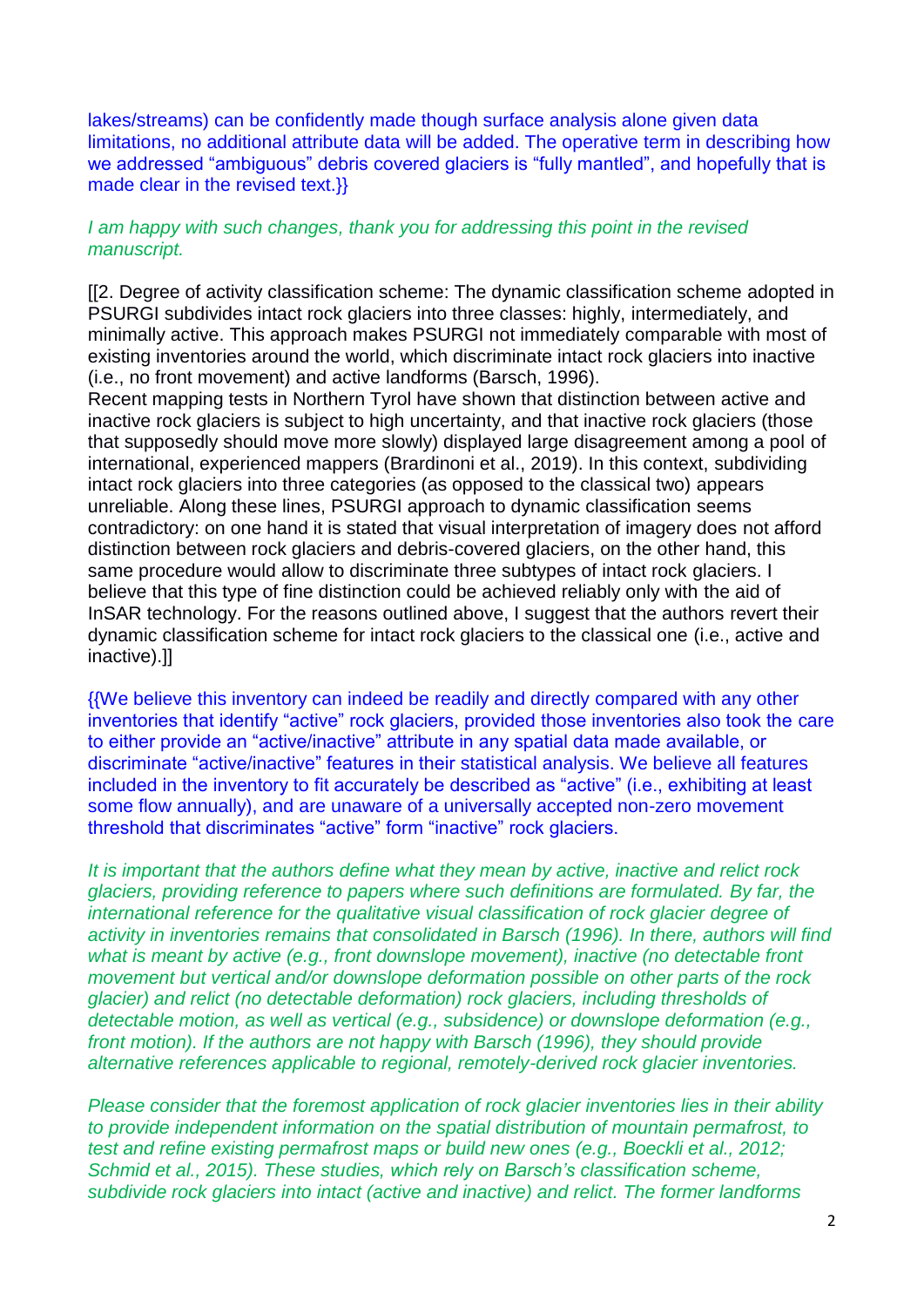lakes/streams) can be confidently made though surface analysis alone given data limitations, no additional attribute data will be added. The operative term in describing how we addressed "ambiguous" debris covered glaciers is "fully mantled", and hopefully that is made clear in the revised text.}}

## *I am happy with such changes, thank you for addressing this point in the revised manuscript.*

[[2. Degree of activity classification scheme: The dynamic classification scheme adopted in PSURGI subdivides intact rock glaciers into three classes: highly, intermediately, and minimally active. This approach makes PSURGI not immediately comparable with most of existing inventories around the world, which discriminate intact rock glaciers into inactive (i.e., no front movement) and active landforms (Barsch, 1996).

Recent mapping tests in Northern Tyrol have shown that distinction between active and inactive rock glaciers is subject to high uncertainty, and that inactive rock glaciers (those that supposedly should move more slowly) displayed large disagreement among a pool of international, experienced mappers (Brardinoni et al., 2019). In this context, subdividing intact rock glaciers into three categories (as opposed to the classical two) appears unreliable. Along these lines, PSURGI approach to dynamic classification seems contradictory: on one hand it is stated that visual interpretation of imagery does not afford distinction between rock glaciers and debris-covered glaciers, on the other hand, this same procedure would allow to discriminate three subtypes of intact rock glaciers. I believe that this type of fine distinction could be achieved reliably only with the aid of InSAR technology. For the reasons outlined above, I suggest that the authors revert their dynamic classification scheme for intact rock glaciers to the classical one (i.e., active and inactive).]]

{{We believe this inventory can indeed be readily and directly compared with any other inventories that identify "active" rock glaciers, provided those inventories also took the care to either provide an "active/inactive" attribute in any spatial data made available, or discriminate "active/inactive" features in their statistical analysis. We believe all features included in the inventory to fit accurately be described as "active" (i.e., exhibiting at least some flow annually), and are unaware of a universally accepted non-zero movement threshold that discriminates "active" form "inactive" rock glaciers.

*It is important that the authors define what they mean by active, inactive and relict rock glaciers, providing reference to papers where such definitions are formulated. By far, the international reference for the qualitative visual classification of rock glacier degree of activity in inventories remains that consolidated in Barsch (1996). In there, authors will find what is meant by active (e.g., front downslope movement), inactive (no detectable front movement but vertical and/or downslope deformation possible on other parts of the rock glacier) and relict (no detectable deformation) rock glaciers, including thresholds of detectable motion, as well as vertical (e.g., subsidence) or downslope deformation (e.g., front motion). If the authors are not happy with Barsch (1996), they should provide alternative references applicable to regional, remotely-derived rock glacier inventories.*

*Please consider that the foremost application of rock glacier inventories lies in their ability to provide independent information on the spatial distribution of mountain permafrost, to test and refine existing permafrost maps or build new ones (e.g., Boeckli et al., 2012; Schmid et al., 2015). These studies, which rely on Barsch's classification scheme, subdivide rock glaciers into intact (active and inactive) and relict. The former landforms*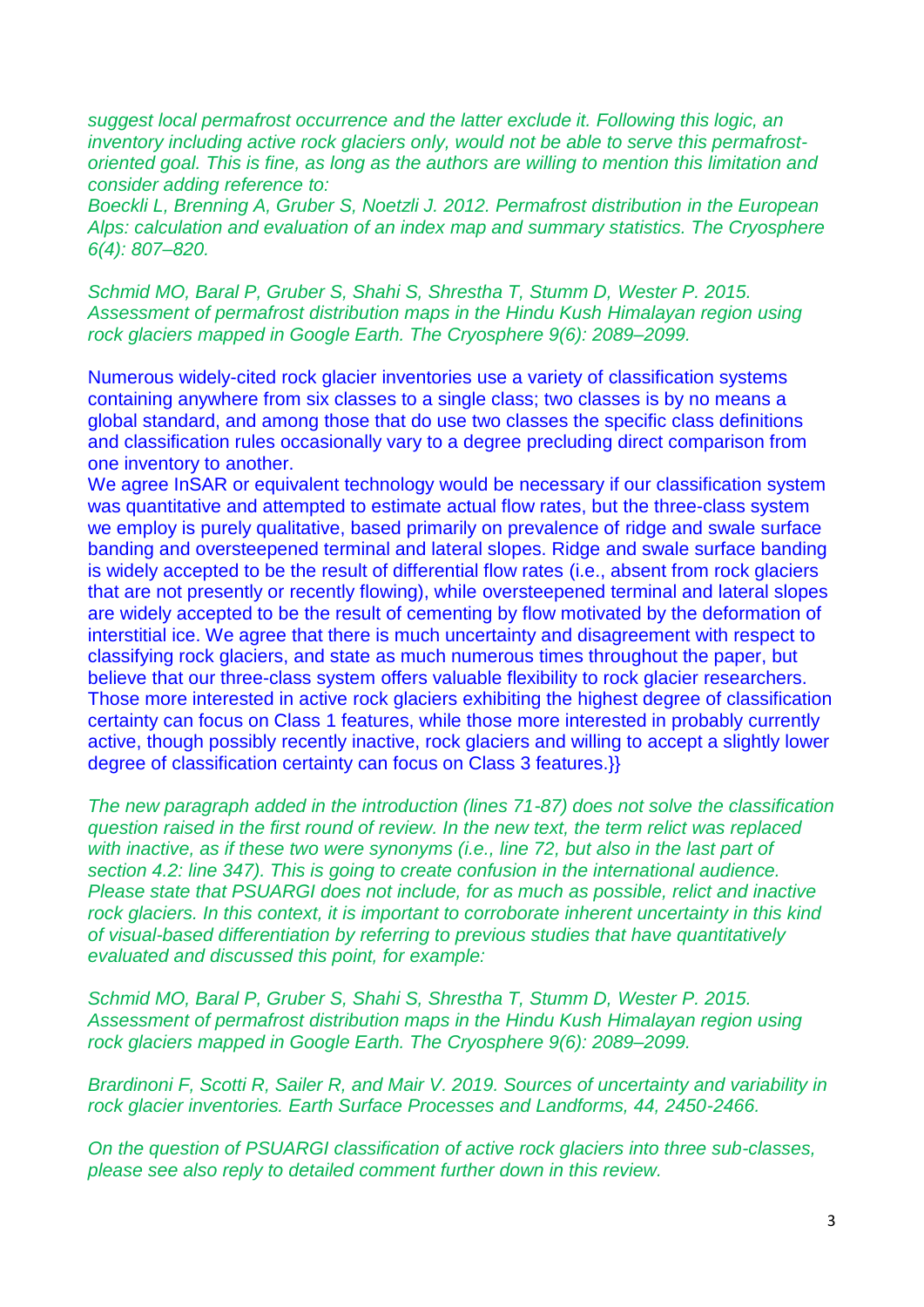*suggest local permafrost occurrence and the latter exclude it. Following this logic, an inventory including active rock glaciers only, would not be able to serve this permafrostoriented goal. This is fine, as long as the authors are willing to mention this limitation and consider adding reference to:*

*Boeckli L, Brenning A, Gruber S, Noetzli J. 2012. Permafrost distribution in the European Alps: calculation and evaluation of an index map and summary statistics. The Cryosphere 6(4): 807–820.*

*Schmid MO, Baral P, Gruber S, Shahi S, Shrestha T, Stumm D, Wester P. 2015. Assessment of permafrost distribution maps in the Hindu Kush Himalayan region using rock glaciers mapped in Google Earth. The Cryosphere 9(6): 2089–2099.*

Numerous widely-cited rock glacier inventories use a variety of classification systems containing anywhere from six classes to a single class; two classes is by no means a global standard, and among those that do use two classes the specific class definitions and classification rules occasionally vary to a degree precluding direct comparison from one inventory to another.

We agree InSAR or equivalent technology would be necessary if our classification system was quantitative and attempted to estimate actual flow rates, but the three-class system we employ is purely qualitative, based primarily on prevalence of ridge and swale surface banding and oversteepened terminal and lateral slopes. Ridge and swale surface banding is widely accepted to be the result of differential flow rates (i.e., absent from rock glaciers that are not presently or recently flowing), while oversteepened terminal and lateral slopes are widely accepted to be the result of cementing by flow motivated by the deformation of interstitial ice. We agree that there is much uncertainty and disagreement with respect to classifying rock glaciers, and state as much numerous times throughout the paper, but believe that our three-class system offers valuable flexibility to rock glacier researchers. Those more interested in active rock glaciers exhibiting the highest degree of classification certainty can focus on Class 1 features, while those more interested in probably currently active, though possibly recently inactive, rock glaciers and willing to accept a slightly lower degree of classification certainty can focus on Class 3 features.}}

*The new paragraph added in the introduction (lines 71-87) does not solve the classification question raised in the first round of review. In the new text, the term relict was replaced with inactive, as if these two were synonyms (i.e., line 72, but also in the last part of section 4.2: line 347). This is going to create confusion in the international audience. Please state that PSUARGI does not include, for as much as possible, relict and inactive*  rock glaciers. In this context, it is important to corroborate inherent uncertainty in this kind *of visual-based differentiation by referring to previous studies that have quantitatively evaluated and discussed this point, for example:*

*Schmid MO, Baral P, Gruber S, Shahi S, Shrestha T, Stumm D, Wester P. 2015. Assessment of permafrost distribution maps in the Hindu Kush Himalayan region using rock glaciers mapped in Google Earth. The Cryosphere 9(6): 2089–2099.*

*Brardinoni F, Scotti R, Sailer R, and Mair V. 2019. Sources of uncertainty and variability in rock glacier inventories. Earth Surface Processes and Landforms, 44, 2450-2466.*

*On the question of PSUARGI classification of active rock glaciers into three sub-classes, please see also reply to detailed comment further down in this review.*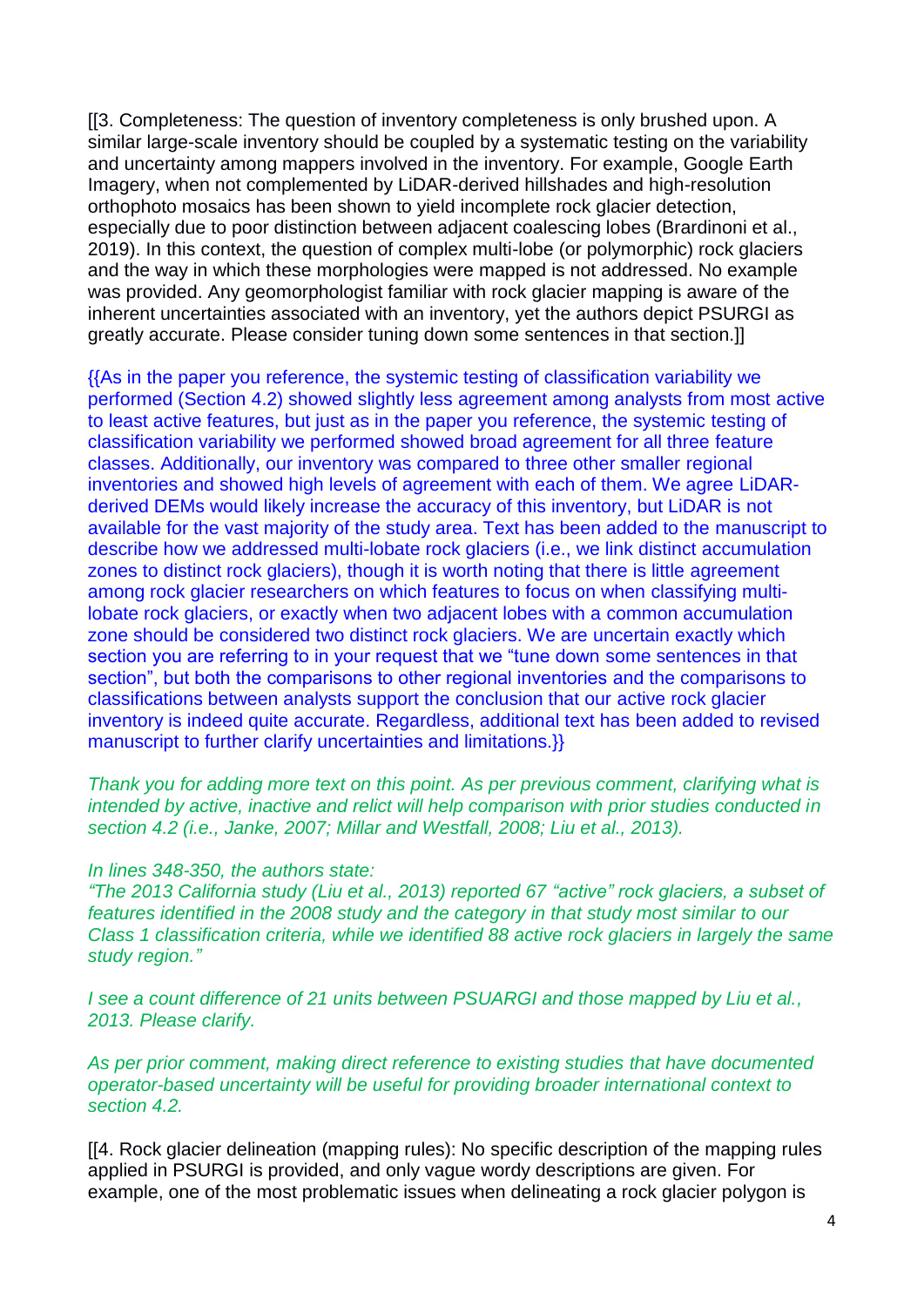[[3. Completeness: The question of inventory completeness is only brushed upon. A similar large-scale inventory should be coupled by a systematic testing on the variability and uncertainty among mappers involved in the inventory. For example, Google Earth Imagery, when not complemented by LiDAR-derived hillshades and high-resolution orthophoto mosaics has been shown to yield incomplete rock glacier detection, especially due to poor distinction between adjacent coalescing lobes (Brardinoni et al., 2019). In this context, the question of complex multi-lobe (or polymorphic) rock glaciers and the way in which these morphologies were mapped is not addressed. No example was provided. Any geomorphologist familiar with rock glacier mapping is aware of the inherent uncertainties associated with an inventory, yet the authors depict PSURGI as greatly accurate. Please consider tuning down some sentences in that section.]]

{{As in the paper you reference, the systemic testing of classification variability we performed (Section 4.2) showed slightly less agreement among analysts from most active to least active features, but just as in the paper you reference, the systemic testing of classification variability we performed showed broad agreement for all three feature classes. Additionally, our inventory was compared to three other smaller regional inventories and showed high levels of agreement with each of them. We agree LiDARderived DEMs would likely increase the accuracy of this inventory, but LiDAR is not available for the vast majority of the study area. Text has been added to the manuscript to describe how we addressed multi-lobate rock glaciers (i.e., we link distinct accumulation zones to distinct rock glaciers), though it is worth noting that there is little agreement among rock glacier researchers on which features to focus on when classifying multilobate rock glaciers, or exactly when two adjacent lobes with a common accumulation zone should be considered two distinct rock glaciers. We are uncertain exactly which section you are referring to in your request that we "tune down some sentences in that section", but both the comparisons to other regional inventories and the comparisons to classifications between analysts support the conclusion that our active rock glacier inventory is indeed quite accurate. Regardless, additional text has been added to revised manuscript to further clarify uncertainties and limitations.}}

*Thank you for adding more text on this point. As per previous comment, clarifying what is intended by active, inactive and relict will help comparison with prior studies conducted in section 4.2 (i.e., Janke, 2007; Millar and Westfall, 2008; Liu et al., 2013).*

#### *In lines 348-350, the authors state:*

*"The 2013 California study (Liu et al., 2013) reported 67 "active" rock glaciers, a subset of features identified in the 2008 study and the category in that study most similar to our Class 1 classification criteria, while we identified 88 active rock glaciers in largely the same study region."*

*I see a count difference of 21 units between PSUARGI and those mapped by Liu et al., 2013. Please clarify.*

*As per prior comment, making direct reference to existing studies that have documented operator-based uncertainty will be useful for providing broader international context to section 4.2.*

[[4. Rock glacier delineation (mapping rules): No specific description of the mapping rules applied in PSURGI is provided, and only vague wordy descriptions are given. For example, one of the most problematic issues when delineating a rock glacier polygon is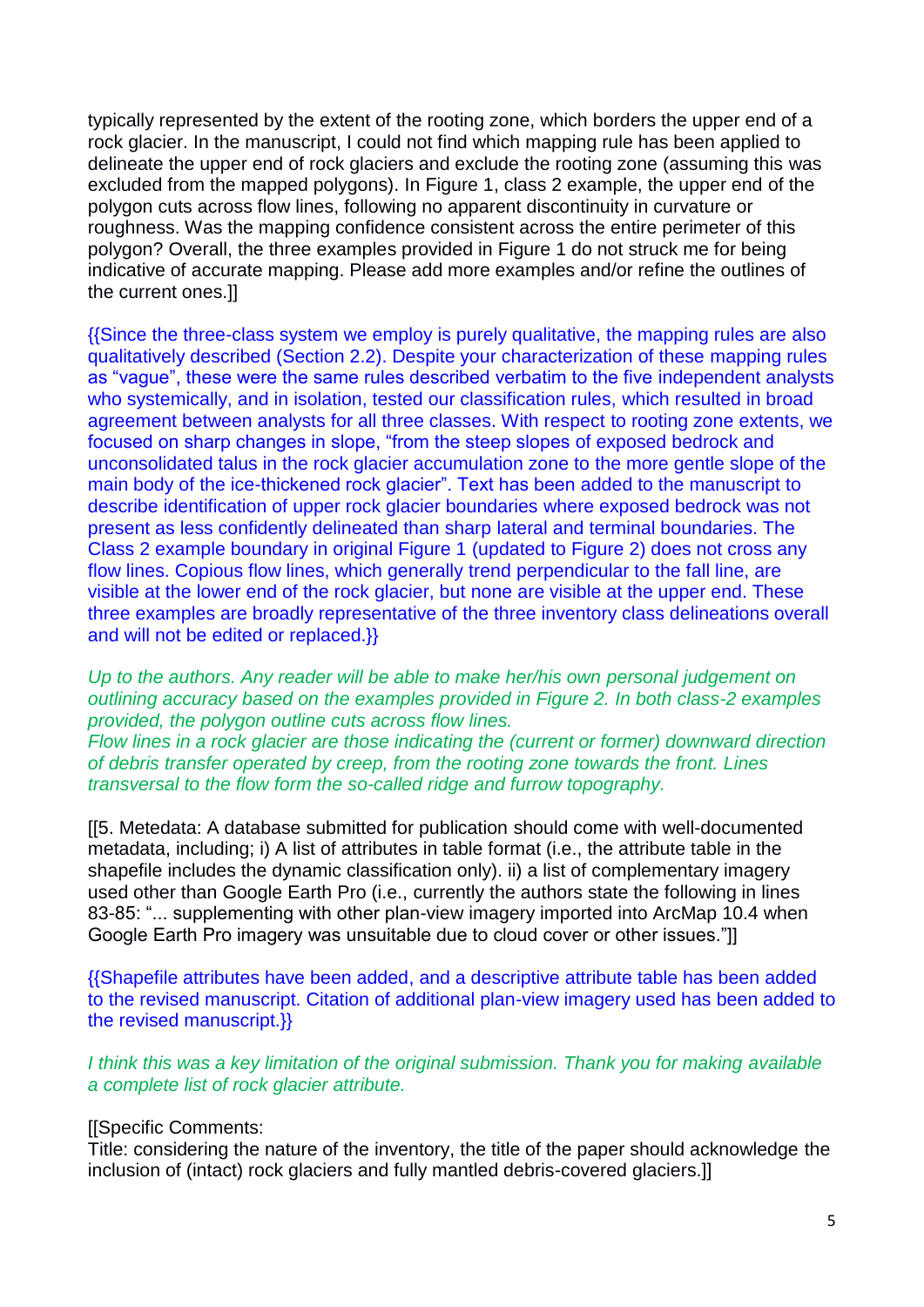typically represented by the extent of the rooting zone, which borders the upper end of a rock glacier. In the manuscript, I could not find which mapping rule has been applied to delineate the upper end of rock glaciers and exclude the rooting zone (assuming this was excluded from the mapped polygons). In Figure 1, class 2 example, the upper end of the polygon cuts across flow lines, following no apparent discontinuity in curvature or roughness. Was the mapping confidence consistent across the entire perimeter of this polygon? Overall, the three examples provided in Figure 1 do not struck me for being indicative of accurate mapping. Please add more examples and/or refine the outlines of the current ones.]]

{{Since the three-class system we employ is purely qualitative, the mapping rules are also qualitatively described (Section 2.2). Despite your characterization of these mapping rules as "vague", these were the same rules described verbatim to the five independent analysts who systemically, and in isolation, tested our classification rules, which resulted in broad agreement between analysts for all three classes. With respect to rooting zone extents, we focused on sharp changes in slope, "from the steep slopes of exposed bedrock and unconsolidated talus in the rock glacier accumulation zone to the more gentle slope of the main body of the ice-thickened rock glacier". Text has been added to the manuscript to describe identification of upper rock glacier boundaries where exposed bedrock was not present as less confidently delineated than sharp lateral and terminal boundaries. The Class 2 example boundary in original Figure 1 (updated to Figure 2) does not cross any flow lines. Copious flow lines, which generally trend perpendicular to the fall line, are visible at the lower end of the rock glacier, but none are visible at the upper end. These three examples are broadly representative of the three inventory class delineations overall and will not be edited or replaced.}}

*Up to the authors. Any reader will be able to make her/his own personal judgement on outlining accuracy based on the examples provided in Figure 2. In both class-2 examples provided, the polygon outline cuts across flow lines.*

*Flow lines in a rock glacier are those indicating the (current or former) downward direction of debris transfer operated by creep, from the rooting zone towards the front. Lines transversal to the flow form the so-called ridge and furrow topography.*

[[5. Metedata: A database submitted for publication should come with well-documented metadata, including; i) A list of attributes in table format (i.e., the attribute table in the shapefile includes the dynamic classification only). ii) a list of complementary imagery used other than Google Earth Pro (i.e., currently the authors state the following in lines 83-85: "... supplementing with other plan-view imagery imported into ArcMap 10.4 when Google Earth Pro imagery was unsuitable due to cloud cover or other issues."]]

{{Shapefile attributes have been added, and a descriptive attribute table has been added to the revised manuscript. Citation of additional plan-view imagery used has been added to the revised manuscript.}}

*I think this was a key limitation of the original submission. Thank you for making available a complete list of rock glacier attribute.*

[[Specific Comments:

Title: considering the nature of the inventory, the title of the paper should acknowledge the inclusion of (intact) rock glaciers and fully mantled debris-covered glaciers.]]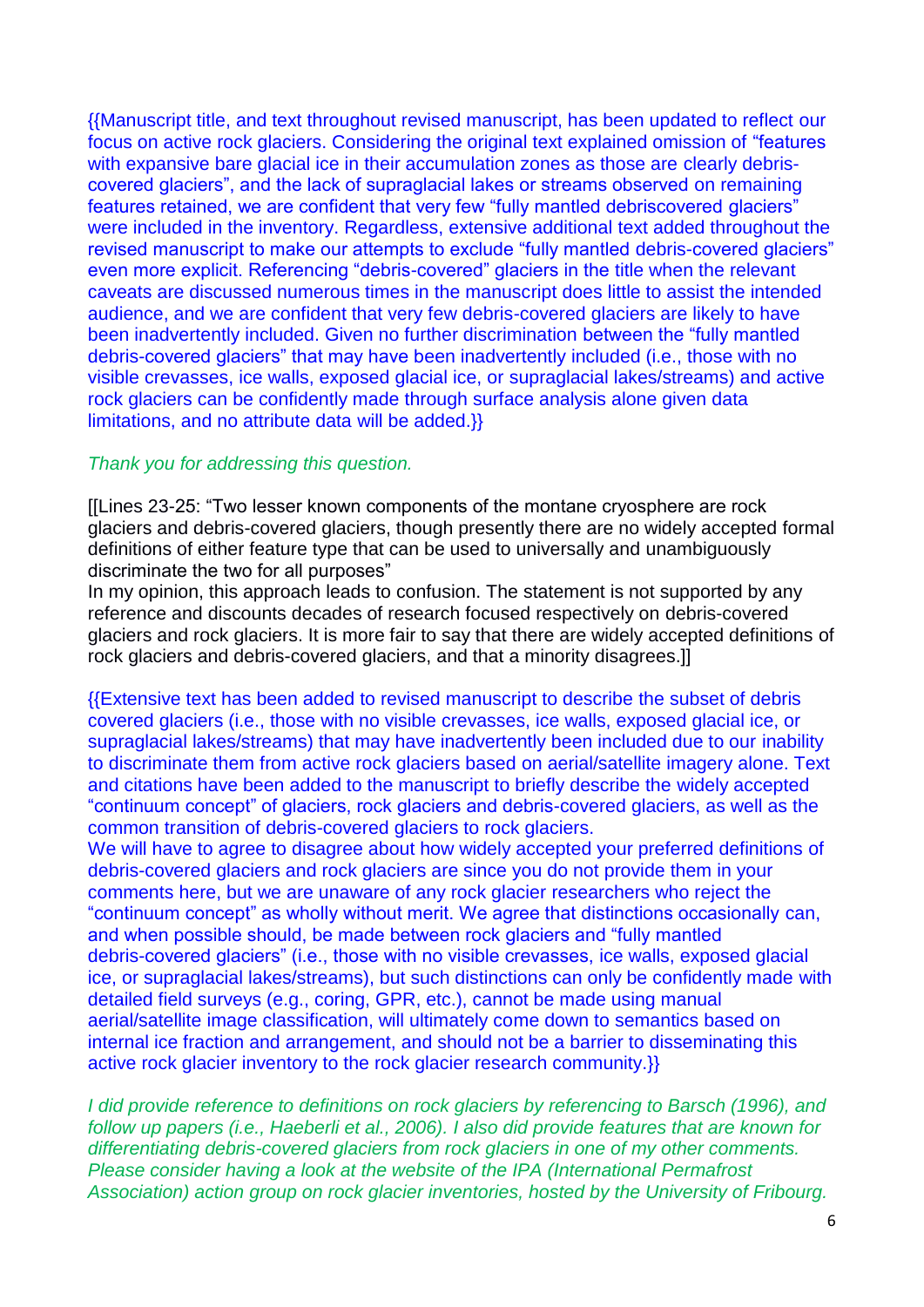{{Manuscript title, and text throughout revised manuscript, has been updated to reflect our focus on active rock glaciers. Considering the original text explained omission of "features with expansive bare glacial ice in their accumulation zones as those are clearly debriscovered glaciers", and the lack of supraglacial lakes or streams observed on remaining features retained, we are confident that very few "fully mantled debriscovered glaciers" were included in the inventory. Regardless, extensive additional text added throughout the revised manuscript to make our attempts to exclude "fully mantled debris-covered glaciers" even more explicit. Referencing "debris-covered" glaciers in the title when the relevant caveats are discussed numerous times in the manuscript does little to assist the intended audience, and we are confident that very few debris-covered glaciers are likely to have been inadvertently included. Given no further discrimination between the "fully mantled debris-covered glaciers" that may have been inadvertently included (i.e., those with no visible crevasses, ice walls, exposed glacial ice, or supraglacial lakes/streams) and active rock glaciers can be confidently made through surface analysis alone given data limitations, and no attribute data will be added.}}

## *Thank you for addressing this question.*

[[Lines 23-25: "Two lesser known components of the montane cryosphere are rock glaciers and debris-covered glaciers, though presently there are no widely accepted formal definitions of either feature type that can be used to universally and unambiguously discriminate the two for all purposes"

In my opinion, this approach leads to confusion. The statement is not supported by any reference and discounts decades of research focused respectively on debris-covered glaciers and rock glaciers. It is more fair to say that there are widely accepted definitions of rock glaciers and debris-covered glaciers, and that a minority disagrees.]]

{{Extensive text has been added to revised manuscript to describe the subset of debris covered glaciers (i.e., those with no visible crevasses, ice walls, exposed glacial ice, or supraglacial lakes/streams) that may have inadvertently been included due to our inability to discriminate them from active rock glaciers based on aerial/satellite imagery alone. Text and citations have been added to the manuscript to briefly describe the widely accepted "continuum concept" of glaciers, rock glaciers and debris-covered glaciers, as well as the common transition of debris-covered glaciers to rock glaciers.

We will have to agree to disagree about how widely accepted your preferred definitions of debris-covered glaciers and rock glaciers are since you do not provide them in your comments here, but we are unaware of any rock glacier researchers who reject the "continuum concept" as wholly without merit. We agree that distinctions occasionally can, and when possible should, be made between rock glaciers and "fully mantled debris-covered glaciers" (i.e., those with no visible crevasses, ice walls, exposed glacial ice, or supraglacial lakes/streams), but such distinctions can only be confidently made with detailed field surveys (e.g., coring, GPR, etc.), cannot be made using manual aerial/satellite image classification, will ultimately come down to semantics based on internal ice fraction and arrangement, and should not be a barrier to disseminating this active rock glacier inventory to the rock glacier research community.}}

*I did provide reference to definitions on rock glaciers by referencing to Barsch (1996), and follow up papers (i.e., Haeberli et al., 2006). I also did provide features that are known for differentiating debris-covered glaciers from rock glaciers in one of my other comments. Please consider having a look at the website of the IPA (International Permafrost Association) action group on rock glacier inventories, hosted by the University of Fribourg.*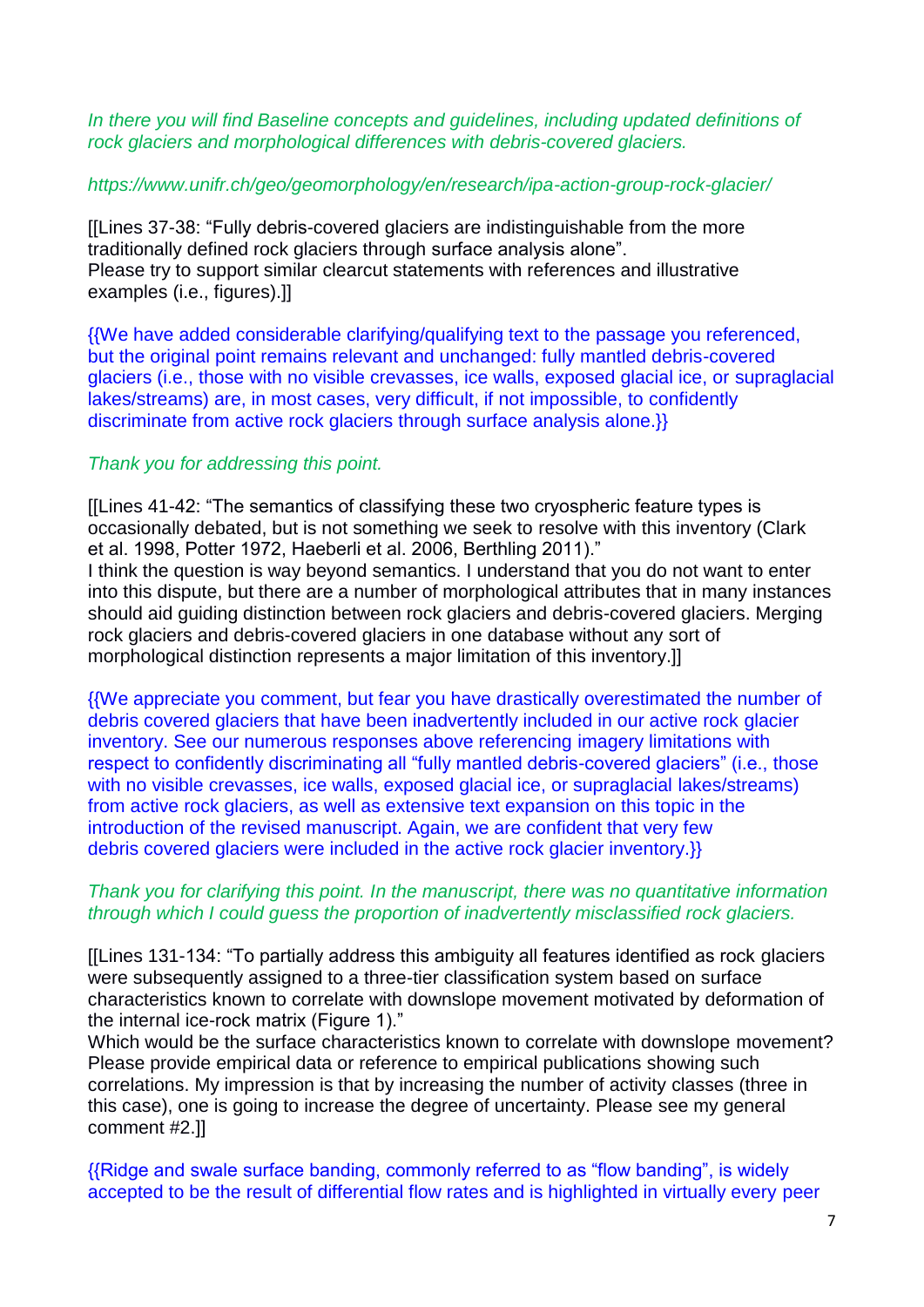*In there you will find Baseline concepts and guidelines, including updated definitions of rock glaciers and morphological differences with debris-covered glaciers.* 

# *https://www.unifr.ch/geo/geomorphology/en/research/ipa-action-group-rock-glacier/*

[[Lines 37-38: "Fully debris-covered glaciers are indistinguishable from the more traditionally defined rock glaciers through surface analysis alone". Please try to support similar clearcut statements with references and illustrative examples (i.e., figures).]]

{{We have added considerable clarifying/qualifying text to the passage you referenced, but the original point remains relevant and unchanged: fully mantled debris-covered glaciers (i.e., those with no visible crevasses, ice walls, exposed glacial ice, or supraglacial lakes/streams) are, in most cases, very difficult, if not impossible, to confidently discriminate from active rock glaciers through surface analysis alone.}}

## *Thank you for addressing this point.*

[[Lines 41-42: "The semantics of classifying these two cryospheric feature types is occasionally debated, but is not something we seek to resolve with this inventory (Clark et al. 1998, Potter 1972, Haeberli et al. 2006, Berthling 2011)." I think the question is way beyond semantics. I understand that you do not want to enter into this dispute, but there are a number of morphological attributes that in many instances should aid guiding distinction between rock glaciers and debris-covered glaciers. Merging rock glaciers and debris-covered glaciers in one database without any sort of morphological distinction represents a major limitation of this inventory.]]

{{We appreciate you comment, but fear you have drastically overestimated the number of debris covered glaciers that have been inadvertently included in our active rock glacier inventory. See our numerous responses above referencing imagery limitations with respect to confidently discriminating all "fully mantled debris-covered glaciers" (i.e., those with no visible crevasses, ice walls, exposed glacial ice, or supraglacial lakes/streams) from active rock glaciers, as well as extensive text expansion on this topic in the introduction of the revised manuscript. Again, we are confident that very few debris covered glaciers were included in the active rock glacier inventory.}}

## *Thank you for clarifying this point. In the manuscript, there was no quantitative information through which I could guess the proportion of inadvertently misclassified rock glaciers.*

[[Lines 131-134: "To partially address this ambiguity all features identified as rock glaciers were subsequently assigned to a three-tier classification system based on surface characteristics known to correlate with downslope movement motivated by deformation of the internal ice-rock matrix (Figure 1)."

Which would be the surface characteristics known to correlate with downslope movement? Please provide empirical data or reference to empirical publications showing such correlations. My impression is that by increasing the number of activity classes (three in this case), one is going to increase the degree of uncertainty. Please see my general comment #2.]]

{{Ridge and swale surface banding, commonly referred to as "flow banding", is widely accepted to be the result of differential flow rates and is highlighted in virtually every peer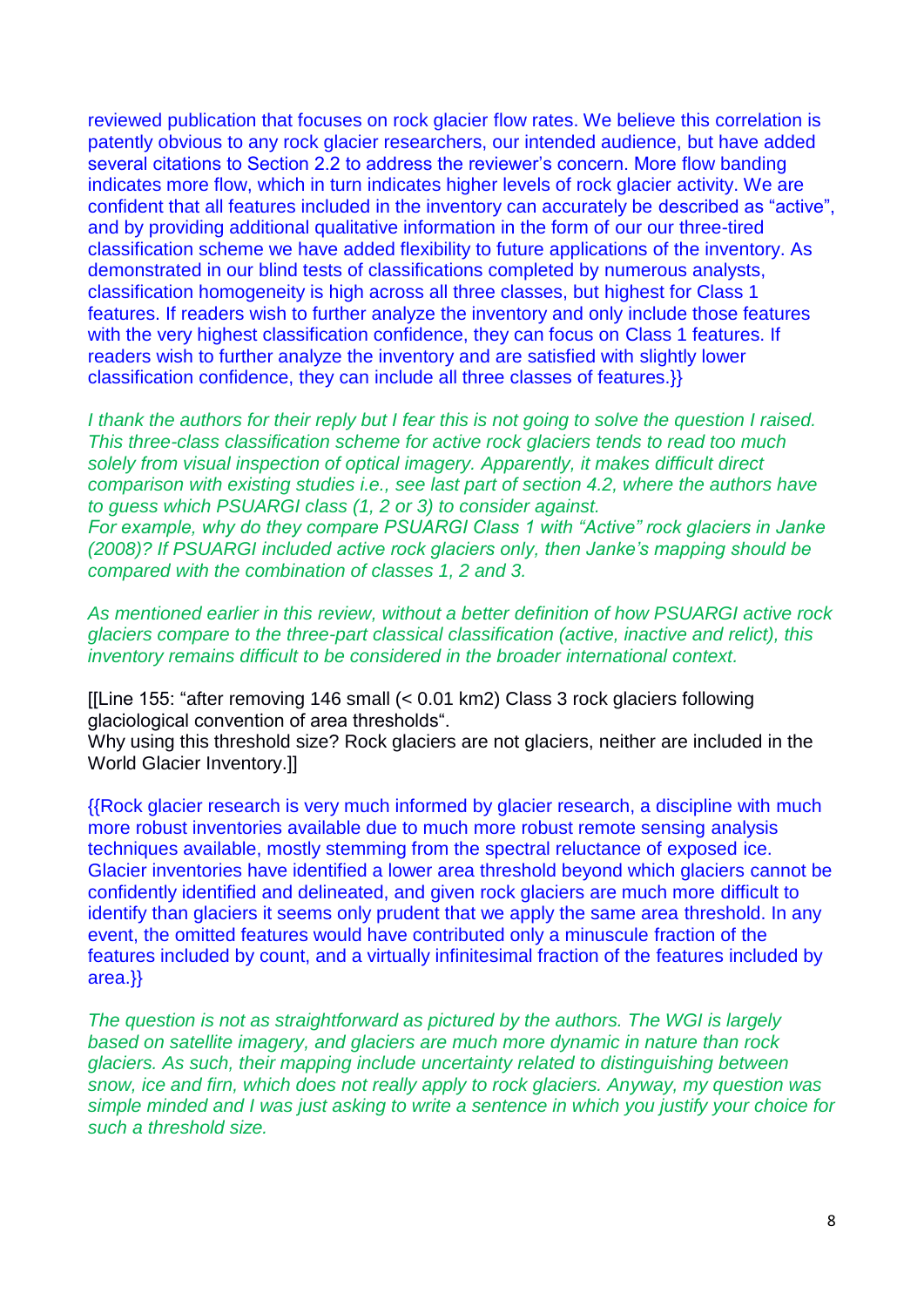reviewed publication that focuses on rock glacier flow rates. We believe this correlation is patently obvious to any rock glacier researchers, our intended audience, but have added several citations to Section 2.2 to address the reviewer's concern. More flow banding indicates more flow, which in turn indicates higher levels of rock glacier activity. We are confident that all features included in the inventory can accurately be described as "active", and by providing additional qualitative information in the form of our our three-tired classification scheme we have added flexibility to future applications of the inventory. As demonstrated in our blind tests of classifications completed by numerous analysts, classification homogeneity is high across all three classes, but highest for Class 1 features. If readers wish to further analyze the inventory and only include those features with the very highest classification confidence, they can focus on Class 1 features. If readers wish to further analyze the inventory and are satisfied with slightly lower classification confidence, they can include all three classes of features.}}

*I thank the authors for their reply but I fear this is not going to solve the question I raised. This three-class classification scheme for active rock glaciers tends to read too much solely from visual inspection of optical imagery. Apparently, it makes difficult direct comparison with existing studies i.e., see last part of section 4.2, where the authors have to guess which PSUARGI class (1, 2 or 3) to consider against. For example, why do they compare PSUARGI Class 1 with "Active" rock glaciers in Janke (2008)? If PSUARGI included active rock glaciers only, then Janke's mapping should be* 

*compared with the combination of classes 1, 2 and 3.* 

*As mentioned earlier in this review, without a better definition of how PSUARGI active rock glaciers compare to the three-part classical classification (active, inactive and relict), this inventory remains difficult to be considered in the broader international context.*

[[Line 155: "after removing 146 small (< 0.01 km2) Class 3 rock glaciers following glaciological convention of area thresholds".

Why using this threshold size? Rock glaciers are not glaciers, neither are included in the World Glacier Inventory.]]

{{Rock glacier research is very much informed by glacier research, a discipline with much more robust inventories available due to much more robust remote sensing analysis techniques available, mostly stemming from the spectral reluctance of exposed ice. Glacier inventories have identified a lower area threshold beyond which glaciers cannot be confidently identified and delineated, and given rock glaciers are much more difficult to identify than glaciers it seems only prudent that we apply the same area threshold. In any event, the omitted features would have contributed only a minuscule fraction of the features included by count, and a virtually infinitesimal fraction of the features included by area.}}

*The question is not as straightforward as pictured by the authors. The WGI is largely based on satellite imagery, and glaciers are much more dynamic in nature than rock glaciers. As such, their mapping include uncertainty related to distinguishing between snow, ice and firn, which does not really apply to rock glaciers. Anyway, my question was simple minded and I was just asking to write a sentence in which you justify your choice for such a threshold size.*